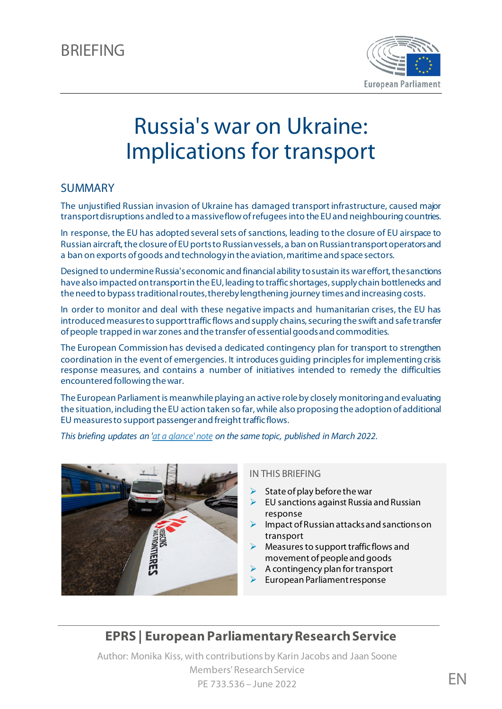

# Russia's war on Ukraine: Implications for transport

#### SUMMARY

The unjustified Russian invasion of Ukraine has damaged transport infrastructure, caused major transport disruptions and led to a massive flow of refugees into the EU and neighbouring countries.

In response, the EU has adopted several sets of sanctions, leading to the closure of EU airspace to Russian aircraft, the closure of EU ports to Russian vessels, a ban on Russian transport operators and a ban on exports of goods and technology in the aviation, maritime and space sectors.

Designed to undermine Russia's economic and financial ability to sustain its war effort, the sanctions have also impacted ontransport in the EU, leading to traffic shortages, supply chain bottlenecks and the need to bypass traditional routes, thereby lengthening journey timesand increasing costs.

In order to monitor and deal with these negative impacts and humanitarian crises, the EU has introduced measures to support traffic flows and supply chains, securing the swift and safe transfer of people trapped in war zones and the transfer of essential goodsand commodities.

The European Commission has devised a dedicated contingency plan for transport to strengthen coordination in the event of emergencies. It introduces guiding principles for implementing crisis response measures, and contains a number of initiatives intended to remedy the difficulties encountered following the war.

The European Parliament is meanwhile playing an active role by closely monitoring and evaluating the situation, including the EU action taken so far, while also proposing the adoption of additional EU measures to support passenger and freight traffic flows.

*This briefing updates an ['at a glance'](https://www.europarl.europa.eu/thinktank/en/document/EPRS_ATA(2022)729307) note on the same topic, published in March 2022.*



#### IN THIS BRIEFING

- State of play before the war
- EU sanctions against Russia and Russian response
- Impact of Russian attacks and sanctions on transport
- Measures to support traffic flows and movement of people and goods
- A contingency plan for transport
- European Parliament response

### **EPRS | European Parliamentary ResearchService**

Author: Monika Kiss, with contributions by Karin Jacobs and Jaan Soone Members' Research Service PE 733.536 – June 2022 **EN**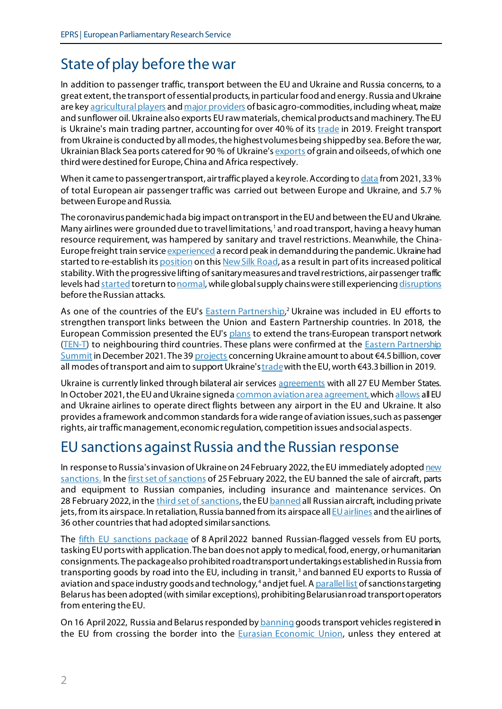# State of play before the war

In addition to passenger traffic, transport between the EU and Ukraine and Russia concerns, to a great extent, the transport of essential products, in particular food and energy. Russia and Ukraine are ke[y agricultural players](https://www.fao.org/fileadmin/user_upload/faoweb/2022/Info-Note-Ukraine-Russian-Federation.pdf) and [major providers](https://www.europarl.europa.eu/thinktank/en/document/EPRS_ATA(2022)729367) of basic agro-commodities, including wheat, maize and sunflower oil. Ukraine also exports EU raw materials, chemical products and machinery. The EU is Ukraine's main trading partner, accounting for over 40% of its [trade](https://policy.trade.ec.europa.eu/eu-trade-relationships-country-and-region/countries-and-regions/ukraine_en) in 2019. Freight transport from Ukraine is conducted by all modes, the highest volumes being shipped by sea. Before the war, Ukrainian Black Sea ports catered for 90 % of Ukraine's [exports](https://ec.europa.eu/commission/presscorner/detail/en/ip_22_3002) of grain and oilseeds, of which one third were destined for Europe, China and Africa respectively.

When it came to passenger transport, air traffic played a key role. According t[o data](https://www.iata.org/en/iata-repository/publications/economic-reports/the-impact-of-the-conflict-between-russia-and-ukraine-on-aviation/) from 2021, 3.3% of total European air passenger traffic was carried out between Europe and Ukraine, and 5.7 % between Europe and Russia.

The coronavirus pandemic had a big impact on transport in the EU and between the EU and Ukraine. Many airlines were grounded due to travel limitations, [1](#page-7-0) and road transport, having a heavy human resource requirement, was hampered by sanitary and travel restrictions. Meanwhile, the China-Europe freight train service [experienced](https://www.railway-technology.com/analysis/new-silk-road-covid-19/) a record peak in demand during the pandemic. Ukraine had started to re-establish its [position](https://www.railfreight.com/specials/2022/02/25/how-important-is-ukraine-on-the-new-silk-road/) on thi[s New Silk Road,](https://www.dbcargo.com/rail-de-en/logistics-news/the-silk-road-of-tomorrow-db-cargo-china-6987106) as a result in part of its increased political stability. With the progressive lifting of sanitary measures and travel restrictions, air passenger traffic levels had [started](https://www.bain.com/insights/air-travel-forecast-when-will-airlines-recover-from-covid-19-interactive/) to return to normal, while global supply chains were still experiencin[g disruptions](https://www.iru.org/news-resources/newsroom/covid-19-still-disrupting-global-supply-chains) before the Russian attacks.

As one of the countries of the EU's **Eastern Partnership,<sup>[2](#page-7-1)</sup> Ukraine was included in EU efforts to** strengthen transport links between the Union and Eastern Partnership countries. In 2018, the European Commission presented the EU'[s plans](https://eur-lex.europa.eu/legal-content/EN/ALL/?uri=COM%3A2021%3A820%3AFIN) to extend the trans-European transport network [\(TEN-T\)](https://transport.ec.europa.eu/transport-themes/infrastructure-and-investment/trans-european-transport-network-ten-t_en) to neighbouring third countries. These plans were confirmed at the [Eastern Partnership](https://www.consilium.europa.eu/media/53527/20211215-eap-joint-declaration-en.pdf)  [Summit](https://www.consilium.europa.eu/media/53527/20211215-eap-joint-declaration-en.pdf) in December 2021. The 39 [projects](https://documents1.worldbank.org/curated/en/577371561465720393/pdf/Indicative-TEN-T-Investment-Action-Plan.pdf) concerning Ukraine amount to about €4.5billion, cover all modes of transport and aim to support Ukraine'[s trade](https://policy.trade.ec.europa.eu/eu-trade-relationships-country-and-region/countries-and-regions/ukraine_en)with the EU, worth €43.3billion in 2019.

Ukraine is currently linked through bilateral air service[s agreements](https://transport.ec.europa.eu/transport-modes/air/international-aviation/status-aviation-relations-country/ukraine_en) with all 27 EU Member States. In October 2021, the EU and Ukraine signed [a common aviation area agreement](https://transport.ec.europa.eu/news/aviation-eu-and-ukraine-sign-milestone-aviation-agreement-2021-10-12_en), which [allows](https://transport.ec.europa.eu/transport-modes/air/international-aviation/status-aviation-relations-country/ukraine_en) all EU and Ukraine airlines to operate direct flights between any airport in the EU and Ukraine. It also provides a framework and common standards for a wide range of aviation issues, such as passenger rights, air traffic management, economic regulation, competition issues and social aspects.

### EU sanctions against Russia and the Russian response

In response to Russia'sinvasion of Ukraine on 24 February 2022, the EU immediately adopte[d new](https://www.consilium.europa.eu/en/policies/sanctions/restrictive-measures-against-russia-over-ukraine/history-restrictive-measures-against-russia-over-ukraine/)  [sanctions.](https://www.consilium.europa.eu/en/policies/sanctions/restrictive-measures-against-russia-over-ukraine/history-restrictive-measures-against-russia-over-ukraine/) In th[e first set of sanctions](https://eur-lex.europa.eu/legal-content/EN/TXT/?uri=OJ:L:2022:042I:TOC) of 25 February 2022, the EU banned the sale of aircraft, parts and equipment to Russian companies, including insurance and maintenance services. On 28 February 2022, in th[e third set of sanctions](https://eur-lex.europa.eu/legal-content/EN/TXT/?uri=OJ:L:2022:057:TOC), the E[U banned](https://ec.europa.eu/commission/presscorner/detail/en/statement_22_1441) all Russian aircraft, including private jets, from its airspace. In retaliation, Russia banned from its airspace al[l EU airlines](https://pr.euractiv.com/pr/air-travel-no-longer-possible-between-russia-eu-229275) and the airlines of 36 other countries that had adopted similar sanctions.

The fifth EU [sanctions](https://eur-lex.europa.eu/legal-content/EN/TXT/?uri=OJ:L:2022:111:TOC) package of 8 April 2022 banned Russian-flagged vessels from EU ports, tasking EU ports with application. The ban does not apply to medical, food, energy, or humanitarian consignments. The package also prohibited road transport undertakings established in Russia from transporting goods by road into the EU, including in transit, [3](#page-7-2) and banned EU exportsto Russia of aviation and space industry goods and technology,<sup>[4](#page-7-3)</sup> and jet fuel. [A parallel list](https://eur-lex.europa.eu/legal-content/EN/TXT/HTML/?uri=CELEX:32022R0577) of sanctions targeting Belarus has been adopted (with similar exceptions), prohibiting Belarusian road transport operators from entering the EU.

On 16 April 2022, Russia and Belarus responded by **banning goods transport vehicles registered** in the EU from crossing the border into the **Eurasian Economic Union**, unless they entered at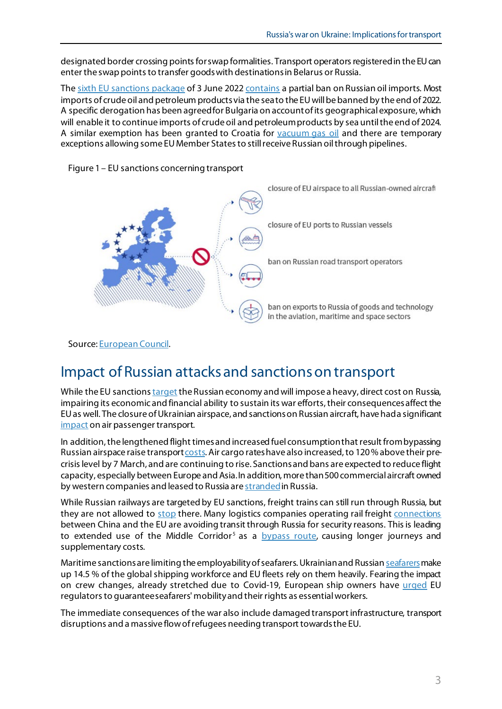designated border crossing points for swap formalities. Transport operators registered in the EU can enter the [swap points](https://www.customs.gov.by/news/vnimaniyu-perevozchikov-zaregistrirovannykh-v-evropeyskom-soyuze-3/) to transfer goods with destinations in Belarus or Russia.

The [sixth EU sanctions package](https://ec.europa.eu/commission/presscorner/detail/en/IP_22_2802) of 3 June 202[2 contains](https://eur-lex.europa.eu/legal-content/EN/TXT/PDF/?uri=OJ:L:2022:153:FULL&from=EN) a partial ban on Russian oil imports. Most imports of crude oil and petroleum products via the sea to the EU will be banned by the end of 2022. A specific derogation has been agreed for Bulgaria on account of its geographical exposure, which will enable it to continue imports of crude oil and petroleum products by sea until the end of 2024. A similar exemption has been granted to Croatia for [vacuum gas oil](https://www.mckinseyenergyinsights.com/resources/refinery-reference-desk/vgo/) and there are temporary exceptions allowing some EU Member States to still receive Russian oil through pipelines.



Figure 1 – EU sanctions concerning transport

Source[: European Council.](https://www.consilium.europa.eu/en/infographics/eu-sanctions-ukraine-invasion/)

### Impact of Russian attacks and sanctions on transport

While the EU sanction[s target](https://ec.europa.eu/commission/presscorner/detail/en/qanda_22_2333) the Russian economy and will impose a heavy, direct cost on Russia, impairing its economic and financial ability to sustain its war efforts, their consequences affect the EU as well. The closure of Ukrainian airspace, and sanctions on Russian aircraft, have had a significant [impact](https://www.iata.org/en/iata-repository/publications/economic-reports/the-impact-of-the-conflict-between-russia-and-ukraine-on-aviation/) on air passenger transport.

In addition, the lengthened flight times and increased fuel consumptionthat result frombypassing Russian airspace raise transpor[t costs](https://www.euronews.com/travel/2022/02/28/ukraine-war-what-are-airspace-closures-costing-the-travel-industry). Air cargo rates have also increased, to 120% above their precrisis level by 7 March, and are continuing to rise. Sanctions and bans are expected to reduce flight capacity, especially between Europe and Asia.In addition, more than 500 commercial aircraft owned by western companies and leased to Russia are [stranded](https://www.ft.com/content/44ec694b-7c03-41e1-8489-9babfb643d7a) in Russia.

While Russian railways are targeted by EU sanctions, freight trains can still run through Russia, but they are not allowed to [stop](http://www.railfreight.com/policy/2022/02/25/eu-imposes-sanctions-on-russia-what-do-they-mean-for-rail-freight/?gdpr=accept) there. Many logistics companies operating rail freight [connections](https://www.europarl.europa.eu/thinktank/en/document/IPOL_STU(2018)585907) between China and the EU are avoiding transit through Russia for security reasons. This is leading to extended use of the Middle Corridor<sup>[5](#page-7-4)</sup> as a **bypass route**, causing longer journeys and supplementary costs.

Maritime sanctions are limiting the employability of seafarers. Ukrainian and Russia[n seafarers](https://www.ics-shipping.org/press-release/russian-and-ukrainian-seafarers-make-up-14-5-of-global-shipping-workforce-according-to-ics/) make up 14.5 % of the global shipping workforce and EU fleets rely on them heavily. Fearing the impact on crew changes, already stretched due to Covid-19, European ship owners have [urged](https://www.ecsa.eu/news/eu-shipowners-highlight-importance-seafarers-ukraine-crisis) EU regulators to guarantee seafarers' mobility and their rights as essential workers.

The immediate consequences of the war also include damaged transport infrastructure, transport disruptions and a massive flow of refugees needing transport towards the EU.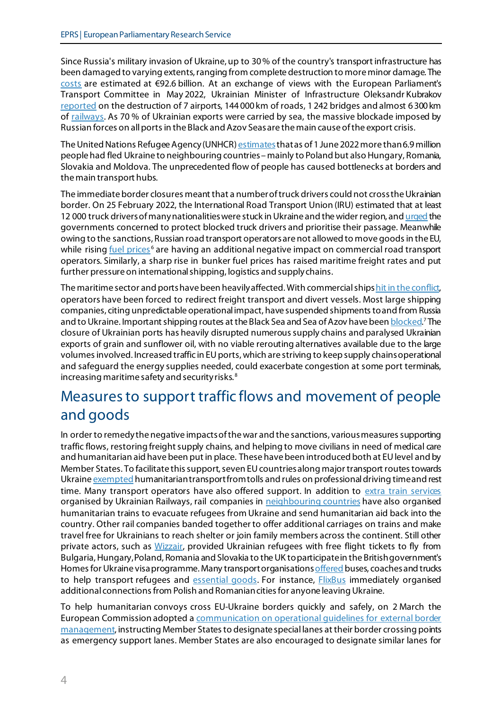Since Russia's military invasion of Ukraine, up to 30% of the country's transport infrastructure has been damaged to varying extents, ranging from complete destruction to more minor damage. The [costs](https://www.railtarget.eu/technologies-and-infrastructure/war-in-ukraine-railway-monitoring-1888.html) are estimated at €92.6 billion. At an exchange of views with the European Parliament's Transport Committee in May 2022, Ukrainian Minister of Infrastructure Oleksandr Kubrakov [reported](https://multimedia.europarl.europa.eu/en/webstreaming/tran-committee-meeting_20220517-1000-COMMITTEE-TRAN) on the destruction of 7 airports, 144 000 km of roads, 1 242 bridges and almost 6 300 km of [railways.](https://www.reuters.com/world/europe/exclusive-russian-invasion-damaged-up-30-ukraines-infrastructure-says-minister-2022-04-18/) As 70 % of Ukrainian exports were carried by sea, the massive blockade imposed by Russian forces on all ports in the Black and Azov Seasare the main cause of the export crisis.

The United Nations Refugee Agency (UNHCR[\) estimates](https://data.unhcr.org/en/situations/ukraine) that as of 1 June 2022 more than 6.9 million people had fled Ukraine to neighbouring countries – mainly to Poland but also Hungary, Romania, Slovakia and Moldova. The unprecedented flow of people has caused bottlenecks at borders and the main transport hubs.

The immediate border closures meant that a number of truck drivers could not cross the Ukrainian border. On 25 February 2022, the International Road Transport Union (IRU) estimated that at least 12 000 truck drivers of many nationalities were stuck in Ukraine and the wider region, an[d urged](https://www.iru.org/resources/iru-library/open-letter-prioritise-passage-and-protect-blocked-truck-drivers-ukraine-crisis) the governments concerned to protect blocked truck drivers and prioritise their passage. Meanwhile owing to the sanctions, Russian road transport operators are not allowed to move goods in the EU, while rising [fuel prices](https://www.iru.org/news-resources/newsroom/iru-calls-urgent-road-transport-fuel-price-action-avert-economic-crisis)<sup>[6](#page-7-5)</sup> are having an additional negative impact on commercial road transport operators. Similarly, a sharp rise in bunker fuel prices has raised maritime freight rates and put further pressure on international shipping, logistics and supply chains.

The maritime sector and ports have been heavily affected. With commercial ship[s hit in the conflict,](https://www.reuters.com/world/bangladesh-cargo-ship-hit-by-missile-crew-member-killed-bangladesh-official-2022-03-03/) operators have been forced to redirect freight transport and divert vessels. Most large shipping companies, citing unpredictable operational impact, have suspended shipments to and from Russia and to Ukraine. Important shipping routes at the Black Sea and Sea of Azov have bee[n blocked](https://www.france24.com/en/europe/20220605-maritime-trade-continues-in-the-black-sea-despite-ukraine-war-sanctions).<sup>[7](#page-7-6)</sup> The closure of Ukrainian ports has heavily disrupted numeroussupply chains and paralysed Ukrainian exports of grain and sunflower oil, with no viable rerouting alternatives available due to the large volumesinvolved. Increased traffic in EU ports, which are striving to keep supply chains operational and safeguard the energy supplies needed, could exacerbate congestion at some port terminals, increasing maritime safety and security risks. [8](#page-7-7)

# Measures to support traffic flows and movement of people and goods

In order to remedy the negative impacts of the war and the sanctions, various measures supporting traffic flows, restoring freight supply chains, and helping to move civilians in need of medical care and humanitarian aid have been put in place. These have been introduced both at EU level and by Member States. To facilitate this support, seven EU countries along major transport routes towards Ukrain[e exempted](https://www.iru.org/news-resources/newsroom/iru-updates-humanitarian-transport-exemptions-tolls-and-driving-rules) humanitarian transport from tolls and rules on professional driving time and rest time. Many transport operators have also offered support. In addition to [extra train services](https://www.euronews.com/travel/2022/02/28/ukraine-travel-railways-run-extra-train-services-for-people-fleeing-russian-invasion) organised by Ukrainian Railways, rail companies in [neighbouring countries](https://www.cer.be/sites/default/files/press-release/220304_CER%20Press%20Release_Solidarity%20with%20Ukraine.pdf) have also organised humanitarian trains to evacuate refugees from Ukraine and send humanitarian aid back into the country. Other rail companies banded together to offer additional carriages on trains and make travel free for Ukrainians to reach shelter or join family members across the continent. Still other private actors, such as *Wizzair*, provided Ukrainian refugees with free flight tickets to fly from Bulgaria, Hungary, Poland, Romania and Slovakia to the UK to participate in the British government's Homes for Ukraine visa programme. Many transport organisation[s offered](https://www.iru.org/news-resources/newsroom/road-transport-mobilises-funds-help-ukraine-crisis) buses, coaches and trucks to help transport refugees and [essential goods.](https://www.iru.org/news-resources/newsroom/keeping-essential-goods-moving-ukraine) For instance, *FlixBus* immediately organised additional connections from Polish and Romanian cities for anyone leaving Ukraine.

To help humanitarian convoys cross EU-Ukraine borders quickly and safely, on 2 March the European Commission adopted a [communication on operational guidelines for external border](https://ec.europa.eu/home-affairs/system/files/2022-03/Communication%20providing%20operational%20guidelines%20external%20border%20management%20EU-Ukraine%20borders_en_1.pdf) [management](https://ec.europa.eu/home-affairs/system/files/2022-03/Communication%20providing%20operational%20guidelines%20external%20border%20management%20EU-Ukraine%20borders_en_1.pdf), instructing Member States to designate special lanes at their border crossing points as emergency support lanes. Member States are also encouraged to designate similar lanes for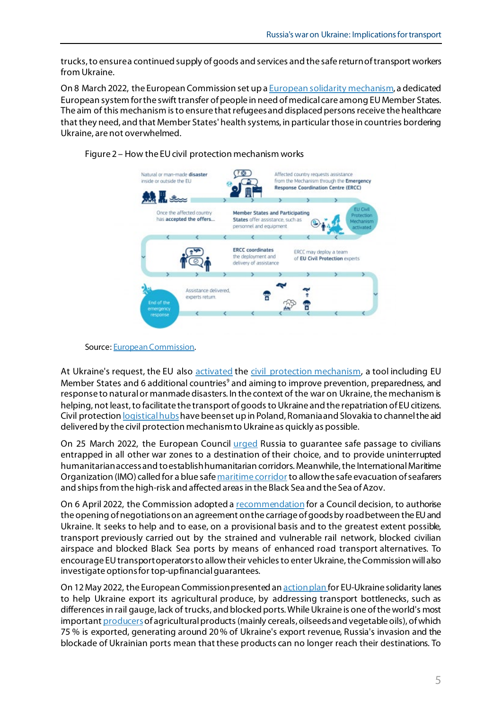trucks,to ensure a continued supply of goods and services and the safe return of transport workers from Ukraine.

On 8 March 2022, the European Commission set up a **European solidarity mechanism**, a dedicated European system for the swift transfer of people in need of medical care among EU Member States. The aim of this mechanism is to ensure that refugees and displaced persons receive the healthcare that they need, and that Member States' health systems, in particular those in countries bordering Ukraine, are not overwhelmed.



Figure 2 – How the EU civil protection mechanism works

At Ukraine's request, the EU also [activated](https://ec.europa.eu/info/strategy/priorities-2019-2024/stronger-europe-world/eu-solidarity-ukraine/eu-assistance-ukraine_en) the [civil protection mechanism](https://civil-protection-humanitarian-aid.ec.europa.eu/what/civil-protection/eu-civil-protection-mechanism_en), a tool including EU Member States and 6 additional countries<sup>[9](#page-7-8)</sup> and aiming to improve prevention, preparedness, and response to natural or manmade disasters. In the context of the war on Ukraine, the mechanism is helping, not least, to facilitate the transport of goods to Ukraine and the repatriation of EU citizens. Civil protection *logistical hubs* have been set up in Poland, Romania and Slovakia to channel the aid delivered by the civil protection mechanism to Ukraine as quickly as possible.

On 25 March 2022, the European Council [urged](https://data.consilium.europa.eu/doc/document/ST-1-2022-INIT/en/pdf) Russia to guarantee safe passage to civilians entrapped in all other war zones to a destination of their choice, and to provide uninterrupted humanitarian access and to establish humanitarian corridors. Meanwhile,the International Maritime Organization (IMO) called for a blue saf[e maritime corridor](https://www.imo.org/en/MediaCentre/MeetingSummaries/Pages/MSC-105th-session.aspx) to allow the safe evacuation of seafarers and ships from the high-risk and affected areas in the Black Sea and the Sea of Azov.

On 6 April 2022, the Commission adopted [a recommendation](https://eur-lex.europa.eu/resource.html?uri=cellar:601c7f82-b589-11ec-b6f4-01aa75ed71a1.0001.02/DOC_1&format=PDF) for a Council decision, to authorise the opening of negotiations on an agreement on the carriage of goods by road between the EU and Ukraine. It seeks to help and to ease, on a provisional basis and to the greatest extent possible, transport previously carried out by the strained and vulnerable rail network, blocked civilian airspace and blocked Black Sea ports by means of enhanced road transport alternatives. To encourage EU transport operators to allow their vehicles to enter Ukraine, the Commission will also investigate options for top-up financial guarantees.

On 12 May 2022, the European Commission presented a[n action plan](https://eur-lex.europa.eu/legal-content/EN/TXT/?uri=CELEX%3A52022DC0217) for EU-Ukraine solidarity lanes to help Ukraine export its agricultural produce, by addressing transport bottlenecks, such as differences in rail gauge, lack of trucks, and blocked ports. While Ukraine is one of the world's most importan[t producer](https://www.fao.org/3/cb9236en/cb9236en.pdf)s of agricultural products (mainly cereals, oilseeds and vegetable oils), of which 75 % is exported, generating around 20% of Ukraine's export revenue, Russia's invasion and the blockade of Ukrainian ports mean that these products can no longer reach their destinations. To

Source[: European Commission](https://civil-protection-humanitarian-aid.ec.europa.eu/what/civil-protection/eu-civil-protection-mechanism_en).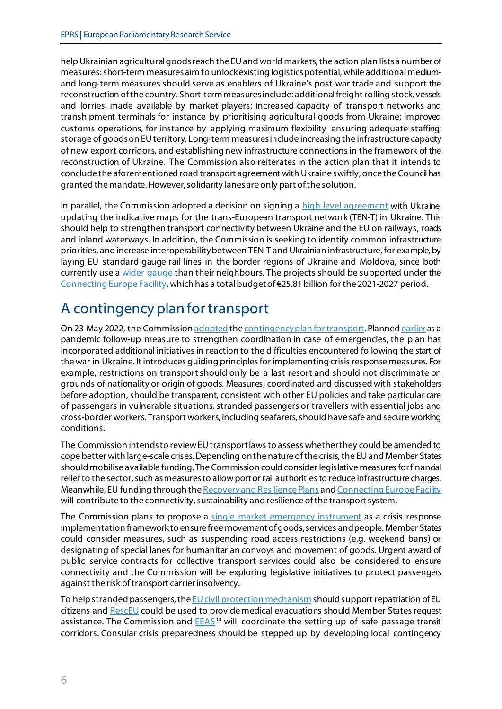help Ukrainian agricultural goods reach the EU and world markets, the action plan lists a number of measures:short-term measures aim to unlock existing logistics potential, while additional mediumand long-term measures should serve as enablers of Ukraine's post-war trade and support the reconstruction of the country. Short-term measures include: additional freight rolling stock, vessels and lorries, made available by market players; increased capacity of transport networks and transhipment terminals for instance by prioritising agricultural goods from Ukraine; improved customs operations, for instance by applying maximum flexibility ensuring adequate staffing; storage of goods on EU territory. Long-term measures include increasing the infrastructure capacity of new export corridors, and establishing new infrastructure connectionsin the framework of the reconstruction of Ukraine. The Commission also reiterates in the action plan that it intends to conclude the aforementioned road transport agreement with Ukraine swiftly, once the Council has granted the mandate.However, solidarity lanes are only part of the solution.

In parallel, the Commission adopted a decision on signing a [high-level agreement](https://transport.ec.europa.eu/system/files/2022-05/C_2022_3204.pdf) with Ukraine, updating the indicative maps for the trans-European transport network (TEN-T) in Ukraine. This should help to strengthen transport connectivity between Ukraine and the EU on railways, roads and inland waterways. In addition, the Commission is seeking to identify common infrastructure priorities, and increase interoperability between TEN-T and Ukrainian infrastructure, for example, by laying EU standard-gauge rail lines in the border regions of Ukraine and Moldova, since both currently use a [wider gauge](https://ubn.news/the-eu-must-address-technical-issues-in-order-to-transport-large-cargo-volumes-from-ukraine/) than their neighbours. The projects should be supported under the [Connecting Europe Facility](https://cinea.ec.europa.eu/programmes/connecting-europe-facility/transport-infrastructure_en), which has a total budget of €25.81billion for the 2021-2027 period.

# A contingency plan for transport

On 23 May 2022, the Commission [adopted](https://transport.ec.europa.eu/news/protecting-eu-transport-times-crisis-commission-adopts-contingency-plan-transport-2022-05-23_en) th[e contingency plan for transport](https://eur-lex.europa.eu/legal-content/EN/TXT/?uri=COM%3A2022%3A211%3AFIN). Planne[d earlier](https://ec.europa.eu/info/law/better-regulation/have-your-say/initiatives/12438-Sustainable-and-Smart-Mobility-Strategy_en) as a pandemic follow-up measure to strengthen coordination in case of emergencies, the plan has incorporated additional initiatives in reaction to the difficulties encountered following the start of the war in Ukraine. It introduces guiding principles for implementing crisis response measures. For example, restrictions on transport should only be a last resort and should not discriminate on grounds of nationality or origin of goods. Measures, coordinated and discussed with stakeholders before adoption, should be transparent, consistent with other EU policies and take particular care of passengers in vulnerable situations, stranded passengers or travellers with essential jobs and cross-border workers. Transport workers, including seafarers,should have safe and secure working conditions.

The Commission intends to review EU transport laws to assess whetherthey could be amended to cope better with large-scale crises. Depending on the nature of the crisis, the EU and Member States should mobilise available funding. The Commission could consider legislative measures for financial relief to the sector, such as measures to allow port or rail authorities to reduce infrastructure charges. Meanwhile, EU funding through the [Recovery and Resilience Plans](https://ec.europa.eu/info/business-economy-euro/recovery-coronavirus/recovery-and-resilience-facility_en) an[d Connecting Europe Facility](https://cinea.ec.europa.eu/programmes/connecting-europe-facility/transport-infrastructure_en) will contribute to the connectivity, sustainability and resilience of the transport system.

The Commission plans to propose a [single market emergency instrument](https://ec.europa.eu/growth/news/commission-seeks-views-upcoming-single-market-emergency-instrument-2022-04-19_en) as a crisis response implementation framework to ensure free movement of goods, services and people. Member States could consider measures, such as suspending road access restrictions (e.g. weekend bans) or designating of special lanes for humanitarian convoys and movement of goods. Urgent award of public service contracts for collective transport services could also be considered to ensure connectivity and the Commission will be exploring legislative initiatives to protect passengers against the risk of transport carrier insolvency.

To help stranded passengers, the  $EU$  civil protection mechanism should support repatriation of EU citizens an[d RescEU](https://civil-protection-humanitarian-aid.ec.europa.eu/what/civil-protection/resceu_en) could be used to provide medical evacuations should Member States request assistance. The Commission and  $E EAS^{10}$  $E EAS^{10}$  $E EAS^{10}$  will coordinate the setting up of safe passage transit corridors. Consular crisis preparedness should be stepped up by developing local contingency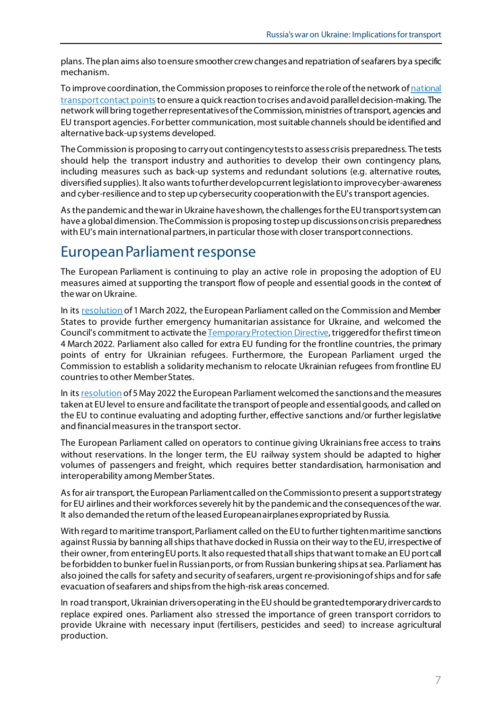plans. The plan aims also to ensure smoother crew changes and repatriation of seafarers by a specific mechanism.

To improve coordination, the Commission proposes to reinforce the role of the network of national [transport contact points](https://www.google.com/url?sa=t&rct=j&q=&esrc=s&source=web&cd=&cad=rja&uact=8&ved=2ahUKEwjGj5DD9J34AhUT7KQKHcwyBj0QFnoECAQQAQ&url=https%3A%2F%2Fec.europa.eu%2Finea%2Fsites%2Fdefault%2Ffiles%2Fdownload%2Fcalls2014%2Fcef_transport%2Fcef_transport_contact_persons_141201.pdf&usg=AOvVaw1OIpcdTIDX0UsxjYCLQExf) to ensure a quick reaction to crises and avoid parallel decision-making. The network will bring together representatives of theCommission, ministries of transport, agencies and EU transport agencies. For better communication, most suitable channels should be identified and alternative back-up systems developed.

The Commission is proposing to carry out contingency tests to assess crisis preparedness. The tests should help the transport industry and authorities to develop their own contingency plans, including measures such as back-up systems and redundant solutions (e.g. alternative routes, diversified supplies). It also wants to further develop current legislation to improve cyber-awareness and cyber-resilience and to step up cybersecurity cooperation with the EU's transport agencies.

As the pandemic and the war in Ukraine have shown, the challenges for the EU transport system can have a global dimension. The Commission is proposing to step up discussions on crisis preparedness with EU's main international partners, in particular those with closer transport connections.

### European Parliament response

The European Parliament is continuing to play an active role in proposing the adoption of EU measures aimed at supporting the transport flow of people and essential goods in the context of the war on Ukraine.

In it[s resolution](https://www.europarl.europa.eu/doceo/document/TA-9-2022-0052_EN.html) of 1March 2022, the European Parliament called on the Commission and Member States to provide further emergency humanitarian assistance for Ukraine, and welcomed the Council's commitment to activate th[e Temporary Protection Directive,](https://ec.europa.eu/home-affairs/policies/migration-and-asylum/common-european-asylum-system/temporary-protection_en) triggered for the first time on 4 March 2022. Parliament also called for extra EU funding for the frontline countries, the primary points of entry for Ukrainian refugees. Furthermore, the European Parliament urged the Commission to establish a solidarity mechanism to relocate Ukrainian refugees from frontline EU countries to other Member States.

In it[s resolution](https://www.europarl.europa.eu/doceo/document/TA-9-2022-0207_EN.html) of 5 May 2022 the European Parliament welcomed the sanctions and the measures taken at EU level to ensure and facilitate the transport of people and essential goods, and called on the EU to continue evaluating and adopting further, effective sanctions and/or further legislative and financial measures in the transport sector.

The European Parliament called on operators to continue giving Ukrainians free access to trains without reservations. In the longer term, the EU railway system should be adapted to higher volumes of passengers and freight, which requires better standardisation, harmonisation and interoperability among Member States.

As for air transport, the European Parliamentcalled on the Commission to present a support strategy for EU airlines and their workforces severely hit by the pandemic and the consequences of the war. It also demanded the return of the leased European airplanes expropriated by Russia.

With regard to maritime transport, Parliament called on the EU to further tighten maritime sanctions against Russia by banning allships that have docked in Russia on their way to the EU, irrespective of their owner, from enteringEU ports. It also requested that all ships that want to make an EU port call be forbidden to bunker fuel in Russian ports, or from Russian bunkering ships at sea. Parliament has also joined the calls for safety and security of seafarers, urgent re-provisioning of ships and for safe evacuation of seafarers and ships from the high-risk areas concerned.

In road transport, Ukrainian drivers operating in the EU should be granted temporary driver cards to replace expired ones. Parliament also stressed the importance of green transport corridors to provide Ukraine with necessary input (fertilisers, pesticides and seed) to increase agricultural production.